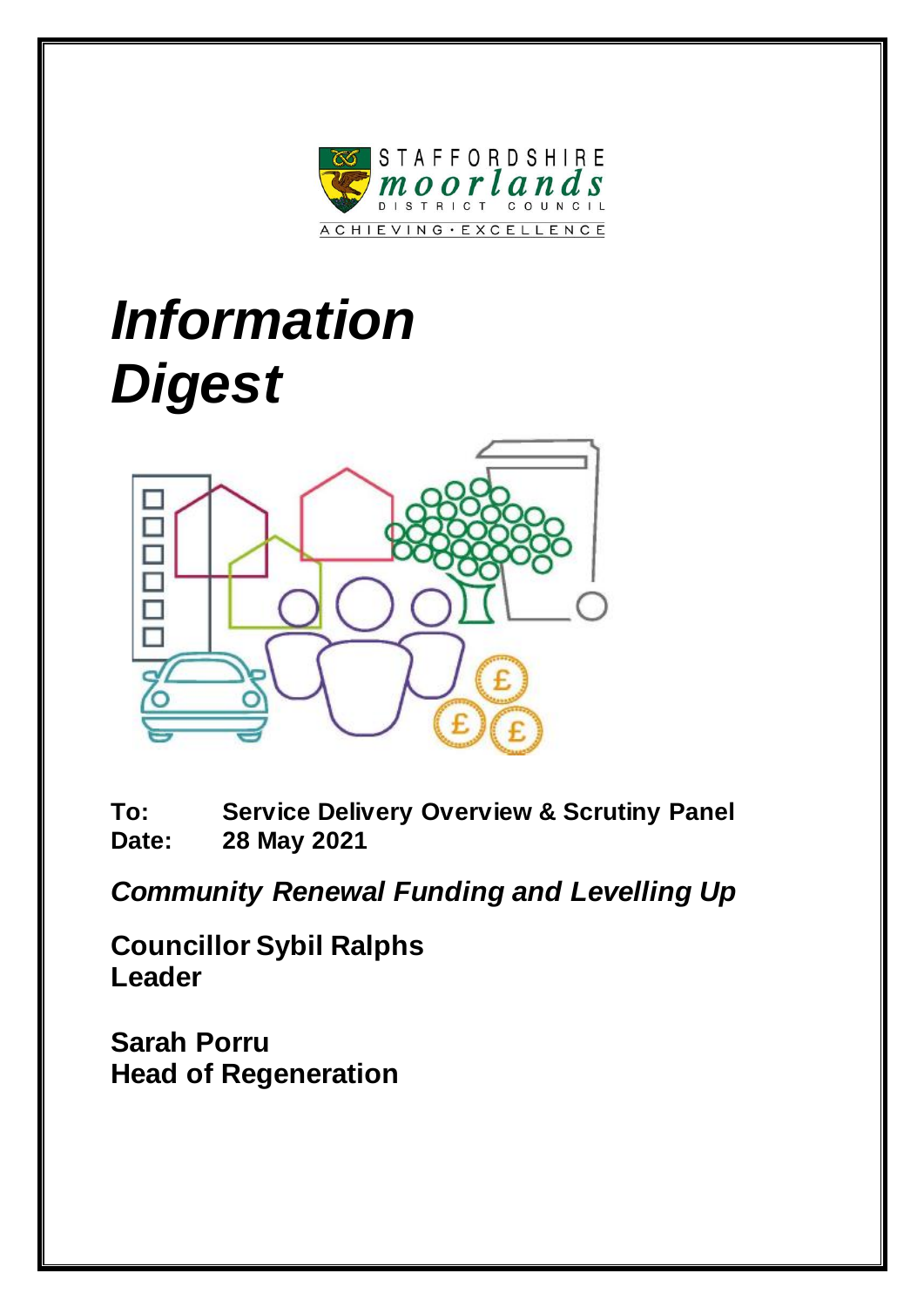

# *Information Digest*



**To: Service Delivery Overview & Scrutiny Panel Date: 28 May 2021**

*Community Renewal Funding and Levelling Up*

**Councillor Sybil Ralphs Leader**

**Sarah Porru Head of Regeneration**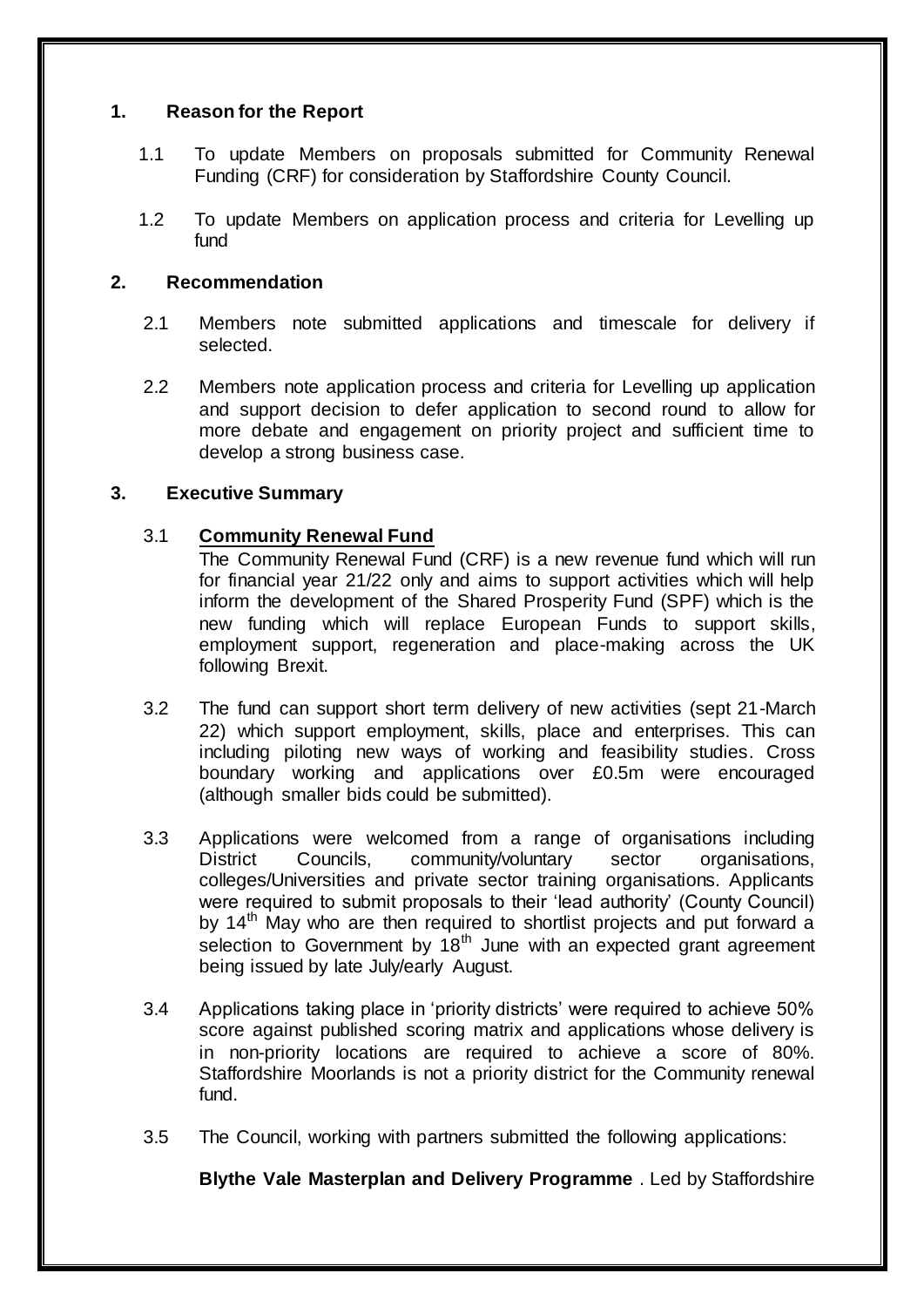## **1. Reason for the Report**

- 1.1 To update Members on proposals submitted for Community Renewal Funding (CRF) for consideration by Staffordshire County Council.
- 1.2 To update Members on application process and criteria for Levelling up fund

# **2. Recommendation**

- 2.1 Members note submitted applications and timescale for delivery if selected.
- 2.2 Members note application process and criteria for Levelling up application and support decision to defer application to second round to allow for more debate and engagement on priority project and sufficient time to develop a strong business case.

## **3. Executive Summary**

## 3.1 **Community Renewal Fund**

The Community Renewal Fund (CRF) is a new revenue fund which will run for financial year 21/22 only and aims to support activities which will help inform the development of the Shared Prosperity Fund (SPF) which is the new funding which will replace European Funds to support skills, employment support, regeneration and place-making across the UK following Brexit.

- 3.2 The fund can support short term delivery of new activities (sept 21-March 22) which support employment, skills, place and enterprises. This can including piloting new ways of working and feasibility studies. Cross boundary working and applications over £0.5m were encouraged (although smaller bids could be submitted).
- 3.3 Applications were welcomed from a range of organisations including District Councils, community/voluntary sector organisations, colleges/Universities and private sector training organisations. Applicants were required to submit proposals to their 'lead authority' (County Council) by 14<sup>th</sup> May who are then required to shortlist projects and put forward a selection to Government by  $18<sup>th</sup>$  June with an expected grant agreement being issued by late July/early August.
- 3.4 Applications taking place in 'priority districts' were required to achieve 50% score against published scoring matrix and applications whose delivery is in non-priority locations are required to achieve a score of 80%. Staffordshire Moorlands is not a priority district for the Community renewal fund.
- 3.5 The Council, working with partners submitted the following applications:

**Blythe Vale Masterplan and Delivery Programme** . Led by Staffordshire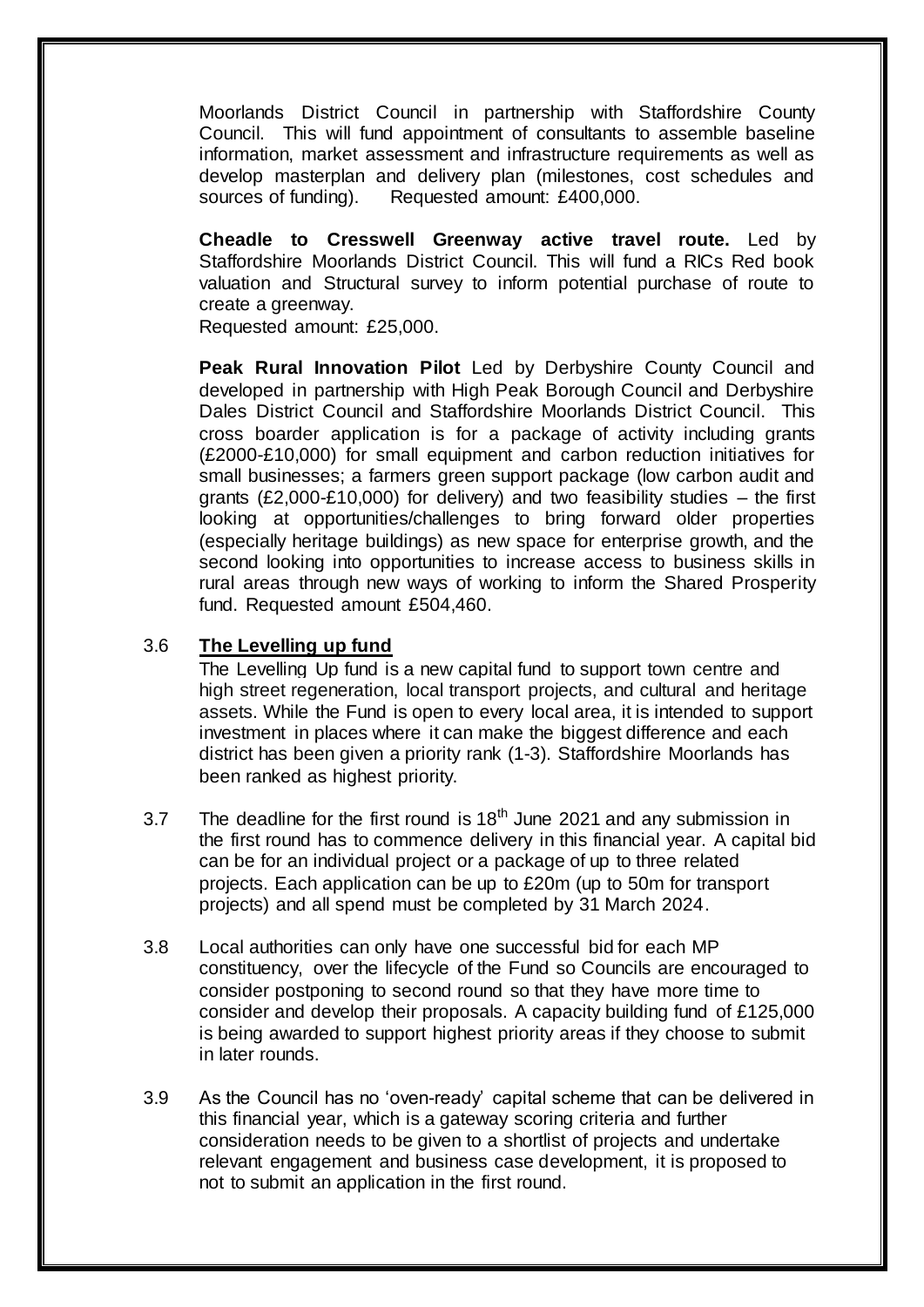Moorlands District Council in partnership with Staffordshire County Council. This will fund appointment of consultants to assemble baseline information, market assessment and infrastructure requirements as well as develop masterplan and delivery plan (milestones, cost schedules and sources of funding). Requested amount: £400,000.

**Cheadle to Cresswell Greenway active travel route.** Led by Staffordshire Moorlands District Council. This will fund a RICs Red book valuation and Structural survey to inform potential purchase of route to create a greenway.

Requested amount: £25,000.

**Peak Rural Innovation Pilot** Led by Derbyshire County Council and developed in partnership with High Peak Borough Council and Derbyshire Dales District Council and Staffordshire Moorlands District Council. This cross boarder application is for a package of activity including grants (£2000-£10,000) for small equipment and carbon reduction initiatives for small businesses; a farmers green support package (low carbon audit and grants (£2,000-£10,000) for delivery) and two feasibility studies  $-$  the first looking at opportunities/challenges to bring forward older properties (especially heritage buildings) as new space for enterprise growth, and the second looking into opportunities to increase access to business skills in rural areas through new ways of working to inform the Shared Prosperity fund. Requested amount £504,460.

## 3.6 **The Levelling up fund**

The Levelling Up fund is a new capital fund to support town centre and high street regeneration, local transport projects, and cultural and heritage assets. While the Fund is open to every local area, it is intended to support investment in places where it can make the biggest difference and each district has been given a priority rank (1-3). Staffordshire Moorlands has been ranked as highest priority.

- 3.7 The deadline for the first round is  $18<sup>th</sup>$  June 2021 and any submission in the first round has to commence delivery in this financial year. A capital bid can be for an individual project or a package of up to three related projects. Each application can be up to £20m (up to 50m for transport projects) and all spend must be completed by 31 March 2024.
- 3.8 Local authorities can only have one successful bid for each MP constituency, over the lifecycle of the Fund so Councils are encouraged to consider postponing to second round so that they have more time to consider and develop their proposals. A capacity building fund of £125,000 is being awarded to support highest priority areas if they choose to submit in later rounds.
- 3.9 As the Council has no 'oven-ready' capital scheme that can be delivered in this financial year, which is a gateway scoring criteria and further consideration needs to be given to a shortlist of projects and undertake relevant engagement and business case development, it is proposed to not to submit an application in the first round.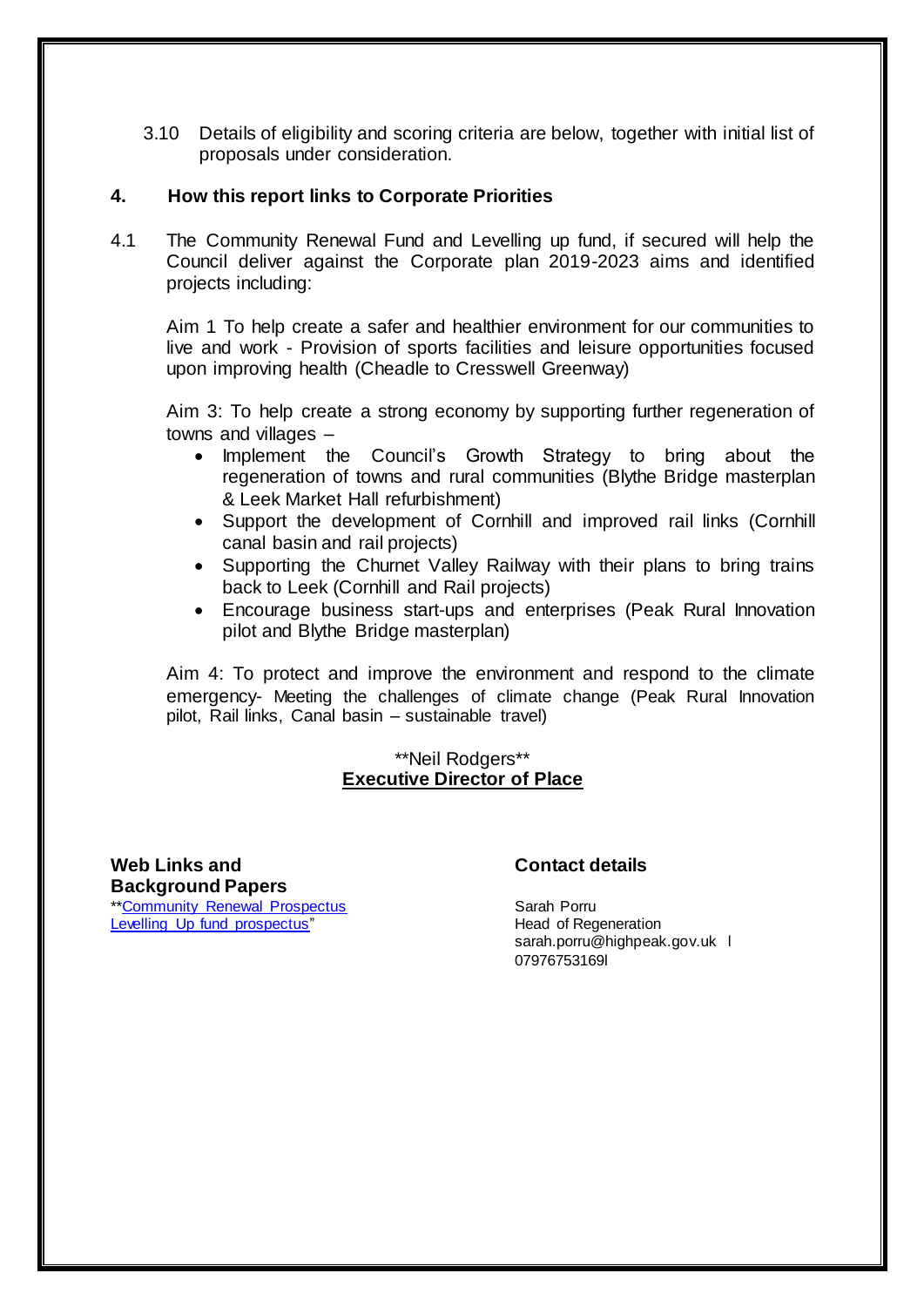3.10 Details of eligibility and scoring criteria are below, together with initial list of proposals under consideration.

#### **4. How this report links to Corporate Priorities**

4.1 The Community Renewal Fund and Levelling up fund, if secured will help the Council deliver against the Corporate plan 2019-2023 aims and identified projects including:

Aim 1 To help create a safer and healthier environment for our communities to live and work - Provision of sports facilities and leisure opportunities focused upon improving health (Cheadle to Cresswell Greenway)

Aim 3: To help create a strong economy by supporting further regeneration of towns and villages –

- Implement the Council's Growth Strategy to bring about the regeneration of towns and rural communities (Blythe Bridge masterplan & Leek Market Hall refurbishment)
- Support the development of Cornhill and improved rail links (Cornhill canal basin and rail projects)
- Supporting the Churnet Valley Railway with their plans to bring trains back to Leek (Cornhill and Rail projects)
- Encourage business start-ups and enterprises (Peak Rural Innovation pilot and Blythe Bridge masterplan)

Aim 4: To protect and improve the environment and respond to the climate emergency- Meeting the challenges of climate change (Peak Rural Innovation pilot, Rail links, Canal basin – sustainable travel)

#### \*\*Neil Rodgers\*\* **Executive Director of Place**

**Web Links and Background Papers** \*[\\*Community Renewal Prospectus](https://www.gov.uk/government/publications/uk-community-renewal-fund-prospectus) [Levelling Up fund prospectus"](https://www.gov.uk/government/publications/levelling-up-fund-prospectus)

#### **Contact details**

Sarah Porru Head of Regeneration sarah.porru@highpeak.gov.uk l 07976753169l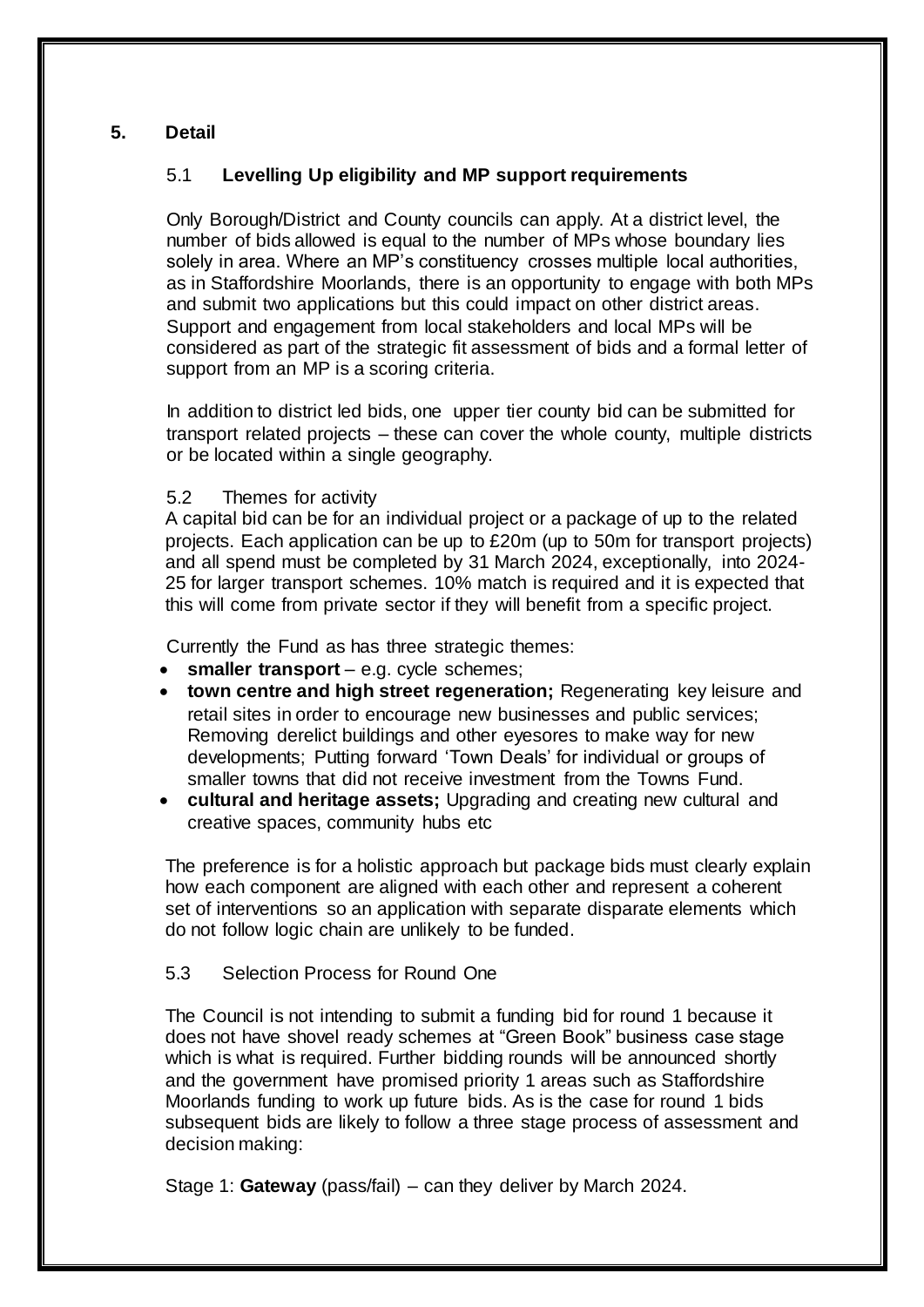# **5. Detail**

# 5.1 **Levelling Up eligibility and MP support requirements**

Only Borough/District and County councils can apply. At a district level, the number of bids allowed is equal to the number of MPs whose boundary lies solely in area. Where an MP's constituency crosses multiple local authorities, as in Staffordshire Moorlands, there is an opportunity to engage with both MPs and submit two applications but this could impact on other district areas. Support and engagement from local stakeholders and local MPs will be considered as part of the strategic fit assessment of bids and a formal letter of support from an MP is a scoring criteria.

In addition to district led bids, one upper tier county bid can be submitted for transport related projects – these can cover the whole county, multiple districts or be located within a single geography.

#### 5.2 Themes for activity

A capital bid can be for an individual project or a package of up to the related projects. Each application can be up to £20m (up to 50m for transport projects) and all spend must be completed by 31 March 2024, exceptionally, into 2024- 25 for larger transport schemes. 10% match is required and it is expected that this will come from private sector if they will benefit from a specific project.

Currently the Fund as has three strategic themes:

- **smaller transport** e.g. cycle schemes;
- **town centre and high street regeneration;** Regenerating key leisure and retail sites in order to encourage new businesses and public services; Removing derelict buildings and other eyesores to make way for new developments; Putting forward 'Town Deals' for individual or groups of smaller towns that did not receive investment from the Towns Fund.
- **cultural and heritage assets;** Upgrading and creating new cultural and creative spaces, community hubs etc

The preference is for a holistic approach but package bids must clearly explain how each component are aligned with each other and represent a coherent set of interventions so an application with separate disparate elements which do not follow logic chain are unlikely to be funded.

## 5.3 Selection Process for Round One

The Council is not intending to submit a funding bid for round 1 because it does not have shovel ready schemes at "Green Book" business case stage which is what is required. Further bidding rounds will be announced shortly and the government have promised priority 1 areas such as Staffordshire Moorlands funding to work up future bids. As is the case for round 1 bids subsequent bids are likely to follow a three stage process of assessment and decision making:

Stage 1: **Gateway** (pass/fail) – can they deliver by March 2024.